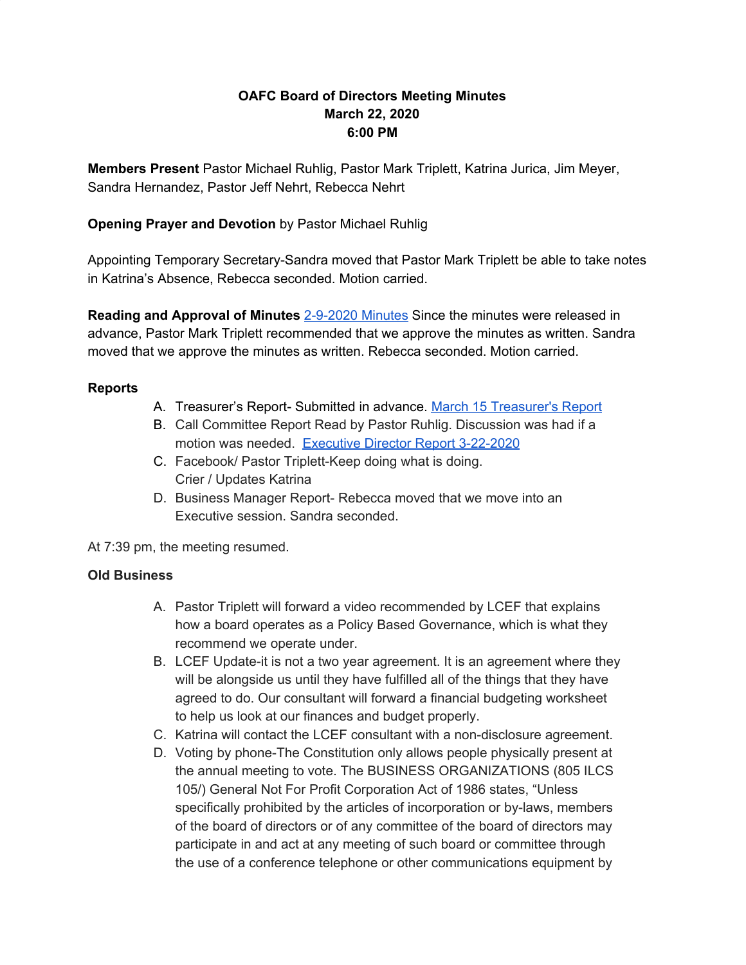# **OAFC Board of Directors Meeting Minutes March 22, 2020 6:00 PM**

**Members Present** Pastor Michael Ruhlig, Pastor Mark Triplett, Katrina Jurica, Jim Meyer, Sandra Hernandez, Pastor Jeff Nehrt, Rebecca Nehrt

# **Opening Prayer and Devotion** by Pastor Michael Ruhlig

Appointing Temporary Secretary-Sandra moved that Pastor Mark Triplett be able to take notes in Katrina's Absence, Rebecca seconded. Motion carried.

**Reading and Approval of Minutes** [2-9-2020](https://docs.google.com/document/d/1X-NISK4EL55_YvmKMuqYb9JWcdWsFHee4TS5RnNw4Nw/edit?usp=sharing) Minutes Since the minutes were released in advance, Pastor Mark Triplett recommended that we approve the minutes as written. Sandra moved that we approve the minutes as written. Rebecca seconded. Motion carried.

### **Reports**

- A. Treasurer's Report- Submitted in advance. March 15 [Treasurer's](https://drive.google.com/file/d/1bNvYQ4q54igaoAJkLFSHbxX9LSrRBSvK/view?usp=sharing) Report
- B. Call Committee Report Read by Pastor Ruhlig. Discussion was had if a motion was needed. Executive Director Report [3-22-2020](https://docs.google.com/document/d/17s6x2AjP9kGdU4j5PsGsHzZJgHjrIVxI1ZFmZCcz50o/edit?usp=sharing)
- C. Facebook/ Pastor Triplett-Keep doing what is doing. Crier / Updates Katrina
- D. Business Manager Report- Rebecca moved that we move into an Executive session. Sandra seconded.

At 7:39 pm, the meeting resumed.

#### **Old Business**

- A. Pastor Triplett will forward a video recommended by LCEF that explains how a board operates as a Policy Based Governance, which is what they recommend we operate under.
- B. LCEF Update-it is not a two year agreement. It is an agreement where they will be alongside us until they have fulfilled all of the things that they have agreed to do. Our consultant will forward a financial budgeting worksheet to help us look at our finances and budget properly.
- C. Katrina will contact the LCEF consultant with a non-disclosure agreement.
- D. Voting by phone-The Constitution only allows people physically present at the annual meeting to vote. The BUSINESS ORGANIZATIONS (805 ILCS 105/) General Not For Profit Corporation Act of 1986 states, "Unless specifically prohibited by the articles of incorporation or by-laws, members of the board of directors or of any committee of the board of directors may participate in and act at any meeting of such board or committee through the use of a conference telephone or other communications equipment by